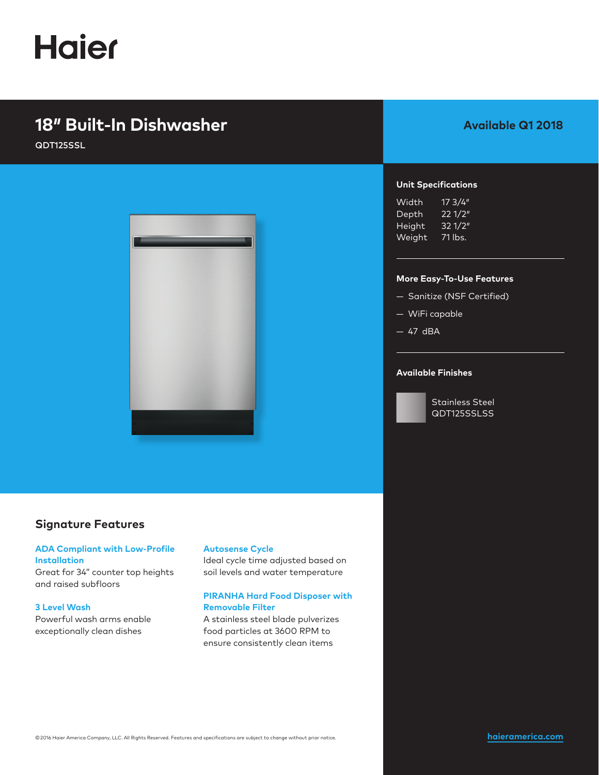# **Haier**

## **18″ Built-In Dishwasher**

QDT125SSL



## **Signature Features**

### **ADA Compliant with Low-Profile Installation**

Great for 34" counter top heights and raised subfloors

#### **3 Level Wash**

Powerful wash arms enable exceptionally clean dishes

## **Autosense Cycle**

Ideal cycle time adjusted based on soil levels and water temperature

## **PIRANHA Hard Food Disposer with Removable Filter**

A stainless steel blade pulverizes food particles at 3600 RPM to ensure consistently clean items

## **Available Q1 2018**

## **Unit Specifications**

| Width          | 17 3/4″ |
|----------------|---------|
| Depth          | 221/2"  |
| Height         | 32 1/2" |
| <u>W</u> eight | 71 lbs. |

#### **More Easy-To-Use Features**

- Sanitize (NSF Certified)
- WiFi capable
- $-47$  dBA

### **Available Finishes**



Stainless Steel QDT125SSLSS